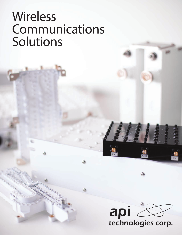# **Wireless** Communications Solutions

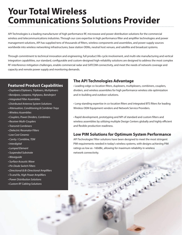## **Your Total Wireless Communications Solutions Provider**

API Technologies is a leading manufacturer of high performance RF, microwave and power distribution solutions for the commercial wireless and telecommunications industries. Through our core expertise in high performance filter and amplifier technologies and power management solutions, API has supplied tens of thousands of filters, wireless components and assemblies, and power supply sources worldwide into wireless networking infrastructures, base station OEMs, neutral host venues, and satellite and broadcast systems.

Through commitment to technical innovation and engineering, full product life-cycle involvement, and multi-site manufacturing and vertical integration capabilities, our standard, configurable and custom-designed high-reliability solutions are designed to address the most complex RF interference mitigation challenges, enable commercial radar and SATCOM connectivity, and meet the needs of network coverage and capacity and remote power supply and monitoring demands.

#### **Featured Product Capabilities**

- *Duplexers/Diplexers, Triplexers, Multiplexers*
- *Bandpass, Lowpass, Highpass, Bandreject*
- *Integrated Filter Assemblies*
- *Distributed Antenna System Solutions*
- *Attenuation, Conditioning & Combiner Trays*
- *Wireless Assemblies*
- *Couplers, Power Dividers, Combiners*
- *Receiver Multi-Couplers*
- *Transmit Combiners*
- *Dielectric Resonator Filters*
- *Low Cost Ceramic*
- *Cavity / Combline, TEM*
- *Interdigital*
- *Lumped Element*
- *Suspended Substrate*
- *Waveguide*
- *Surface Acoustic Wave*
- *Pin Diode Switch Filters*
- *Directional & Bi-Directional Amplifiers*
- *Tx and Rx, High Power Amplifiers*
- *Power Distribution Solutions*
- *Custom RF Cabling Solutions*

#### **The API Technologies Advantage**

• Leading-edge co-location filters, duplexers, multiplexers, combiners, couplers, dividers, and wireless assemblies for high performance wireless site optimization and in-building and outdoor solutions.

• Long-standing expertise in co-location filters and integrated BTS filters for leading Wireless OEM Equipment vendors and Network Service Providers.

• Rapid development, prototyping and NPI of standard and custom filters and wireless assemblies by utilizing multiple Design Centers globally and highly efficient and flexible production readiness.

#### **Low PIM Solutions for Optimum System Performance**

API Technologies' filter solutions have been designed to meet the most stringent PIM requirements needed in today's wireless systems, with designs achieving PIM ratings as low as -160dBc, allowing for maximum reliability in wireless network connectivity.

FREE STREET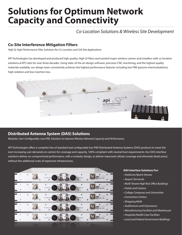## **Solutions for Optimum Network Capacity and Connectivity**

### *Co-Location Solutions & Wireless Site Development*

#### **Co-Site Interference Mitigation Filters**

*High Q, High Performance Filter Solutions for Co-Location and Cell-Site Applications*

API Technologies has developed and produced high quality, High Q Filters and assisted major wireless carriers and installers with co-location solutions at BTS sites for over three decades. Using state-of-the art design software, precision CNC machining, and the highest quality materials available, our design team consistently achieves the highest performance features including low PIM (passive intermodulation), high isolation and low insertion loss.



#### **Distributed Antenna System (DAS) Solutions**

*Modular, User-Configurable, Low PIM, Solutions to Improve Wireless Network Capacity and Performance*

API Technologies offers a complete line of standard and configurable low PIM Distributed Antenna Systems (DAS) products to meet the ever-increasing user demands on carriers for coverage and capacity, 100% compliant with neutral host requirements. Our DAS interface solutions deliver un-compromised performance, with a modular design, to deliver improved cellular coverage and eliminate 'dead zones,' without the additional costs of expensive infrastructure.



#### **DAS Interface Solutions For:**

- *Stadiums/Sports Venues*
- *Airport Terminals*
- *Multi-Tenant High Rise Office Buildings*
- *Hotels and Casinos*
- *College Campuses and Universities*
- *Convention Centers*
- *Shopping Malls*
- *Auditoriums and Classrooms*
- *Manufacturing Facilities and Warehouses*
- *Hospitals/Health Care Facilities*
- *Local and Federal Government Buildings*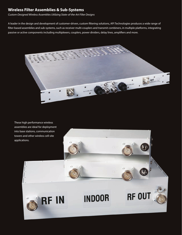#### **Wireless Filter Assemblies & Sub-Systems**

*Custom-Designed Wireless Assemblies Utilizing State-of-the-Art Filter Designs*

A leader in the design and development of customer-driven, custom filtering solutions, API Technologies produces a wide range of filter-based assemblies and sub-systems, such as receiver multi-couplers and transmit combiners, in multiple platforms, integrating passive or active components including multiplexers, couplers, power dividers, delay lines, amplifiers and more.



These high performance wireless assemblies are ideal for deployment into base stations, communication towers and other wireless cell-site applications.

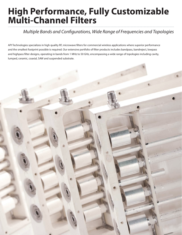## **High Performance, Fully Customizable Multi-Channel Filters**

### *Multiple Bands and Configurations, Wide Range of Frequencies and Topologies*

API Technologies specializes in high quality RF, microwave filters for commercial wireless applications where superior performance and the smallest footprint possible is required. Our extensive portfolio of filter products includes bandpass, bandreject, lowpass and highpass filter designs, operating in bands from 1 MHz to 50 GHz, encompassing a wide range of topologies including cavity, lumped, ceramic, coaxial, SAW and suspended substrate.

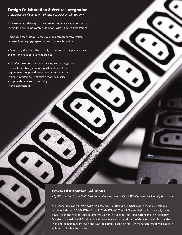#### **Design Collaboration & Vertical Integration**

*Custom design collaboration is a hassle-free experience for customers*

• The experienced design team at API Technologies has a proven track record for developing complex solutions within limited time frames.

• Advanced technology is employed for a comprehensive system review of packaging preparation and manufacturability.

• By working directly with our design team, we can help you reduce the design phase of your next project.

• We offer the most comprehensive RF, microwave, power and custom cabling solutions portfolio to meet the requirements for precision-engineered systems that mitigate interference, optimize network capacity, and provide wireless connectivity in the marketplace.

#### **Power Distribution Solutions**

*AC, DC, and Electronic Switched Power Distribution Units for Wireless Networking Optimization*

API Technologies offers smart switched power distribution units (PDUs) in both AC and DC options which include our AC SMARTStart® and DC SMARTStart®. These PDUs are designed to remotely control power loads and monitor vital parameters such as line voltage, total load current and line frequency. Our electronic switched PDU timer box simultaneously charges dozens of devices by switching outlets in 15 and/or 30 minute intervals and is an ideal drop-in solution for OEM manufacturers of wireless base station or cell-site infrastructure.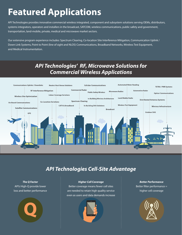## **Featured Applications**

API Technologies provides innovative commercial wireless integrated, component and subsystem solutions serving OEMs, distributors, systems integrators, operators and installers in the broadcast, SATCOM, wireless communications, public safety and government, transportation, land-mobile, private, medical and microwave market sectors.

Our extensive program experience includes: Spectrum Clearing, Co-location Site Interference Mitigation, Communication Uplink / Down Link Systems, Point to Point (line of sight and NLOS) Communications, Broadband Networks, Wireless Test Equipment, and Medical Instrumentation.

### *API Technologies' RF, Microwave Solutions for Commercial Wireless Applications*



### *API Technologies Cell-Site Advantage*

*The Q Factor* API's High-Q provide lower loss and better performance



#### *Higher Cell Coverage*

Better coverage means fewer cell sites are needed to retain high quality service even as users and data demands increase



*Better Performance* Better filter performance = higher cell coverage